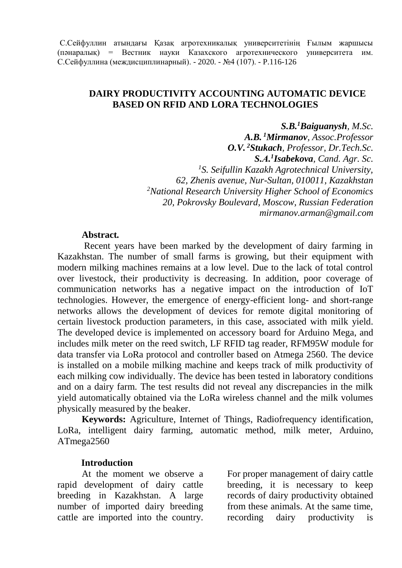### **DAIRY PRODUCTIVITY ACCOUNTING AUTOMATIC DEVICE BASED ON RFID AND LORA TECHNOLOGIES**

*S.B.<sup>1</sup>Baiguanysh, M.Sc. A.B. <sup>1</sup>Mirmanov, Assoc.Professor O.V. <sup>2</sup>Stukach, Professor, Dr.Tech.Sc. S.А. 1 Isabekova, Cand. Agr. Sc. <sup>1</sup>S. Seifullin Kazakh Agrotechnical University, 62, Zhenis avenue, Nur-Sultan, 010011, Kazakhstan <sup>2</sup>National Research University Higher School of Economics 20, Pokrovsky Boulevard, Moscow, Russian Federation mirmanov.arman@gmail.com*

#### **Abstract***.*

Recent years have been marked by the development of dairy farming in Kazakhstan. The number of small farms is growing, but their equipment with modern milking machines remains at a low level. Due to the lack of total control over livestock, their productivity is decreasing. In addition, poor coverage of communication networks has a negative impact on the introduction of IoT technologies. However, the emergence of energy-efficient long- and short-range networks allows the development of devices for remote digital monitoring of certain livestock production parameters, in this case, associated with milk yield. The developed device is implemented on accessory board for Arduino Mega, and includes milk meter on the reed switch, LF RFID tag reader, RFM95W module for data transfer via LoRa protocol and controller based on Atmega 2560. The device is installed on a mobile milking machine and keeps track of milk productivity of each milking cow individually. The device has been tested in laboratory conditions and on a dairy farm. The test results did not reveal any discrepancies in the milk yield automatically obtained via the LoRa wireless channel and the milk volumes physically measured by the beaker.

**Keywords:** Agriculture, Internet of Things, Radiofrequency identification, LoRa, intelligent dairy farming, automatic method, milk meter, Arduino, ATmega2560

### **Introduction**

At the moment we observe a rapid development of dairy cattle breeding in Kazakhstan. A large number of imported dairy breeding cattle are imported into the country.

For proper management of dairy cattle breeding, it is necessary to keep records of dairy productivity obtained from these animals. At the same time, recording dairy productivity is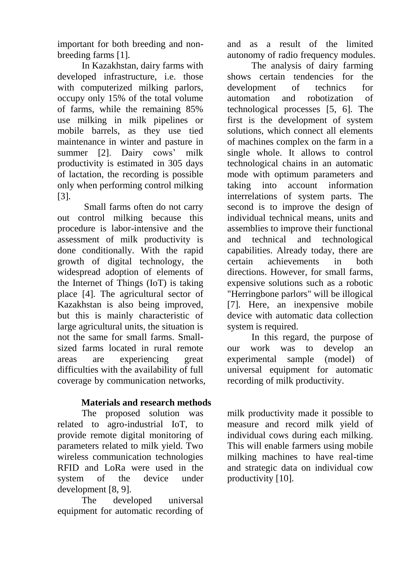important for both breeding and nonbreeding farms [1].

In Kazakhstan, dairy farms with developed infrastructure, i.e. those with computerized milking parlors, occupy only 15% of the total volume of farms, while the remaining 85% use milking in milk pipelines or mobile barrels, as they use tied maintenance in winter and pasture in summer [2]. Dairy cows' milk productivity is estimated in 305 days of lactation, the recording is possible only when performing control milking [3].

Small farms often do not carry out control milking because this procedure is labor-intensive and the assessment of milk productivity is done conditionally. With the rapid growth of digital technology, the widespread adoption of elements of the Internet of Things (IoT) is taking place [4]. The agricultural sector of Kazakhstan is also being improved, but this is mainly characteristic of large agricultural units, the situation is not the same for small farms. Smallsized farms located in rural remote areas are experiencing great difficulties with the availability of full coverage by communication networks,

# **Materials and research methods**

The proposed solution was related to agro-industrial IoT, to provide remote digital monitoring of parameters related to milk yield. Two wireless communication technologies RFID and LoRa were used in the system of the device under development [8, 9].

The developed universal equipment for automatic recording of and as a result of the limited autonomy of radio frequency modules.

The analysis of dairy farming shows certain tendencies for the development of technics for automation and robotization of technological processes [5, 6]. The first is the development of system solutions, which connect all elements of machines complex on the farm in a single whole. It allows to control technological chains in an automatic mode with optimum parameters and taking into account information interrelations of system parts. The second is to improve the design of individual technical means, units and assemblies to improve their functional and technical and technological capabilities. Already today, there are certain achievements in both directions. However, for small farms, expensive solutions such as a robotic "Herringbone parlors" will be illogical [7]. Here, an inexpensive mobile device with automatic data collection system is required.

In this regard, the purpose of our work was to develop an experimental sample (model) of universal equipment for automatic recording of milk productivity.

milk productivity made it possible to measure and record milk yield of individual cows during each milking. This will enable farmers using mobile milking machines to have real-time and strategic data on individual cow productivity [10].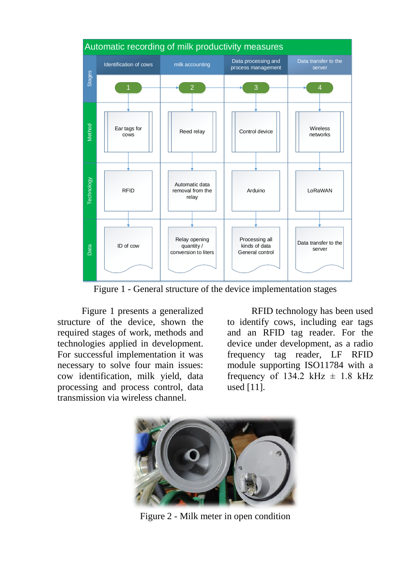

Figure 1 - General structure of the device implementation stages

Figure 1 presents a generalized structure of the device, shown the required stages of work, methods and technologies applied in development. For successful implementation it was necessary to solve four main issues: cow identification, milk yield, data processing and process control, data transmission via wireless channel.

RFID technology has been used to identify cows, including ear tags and an RFID tag reader. For the device under development, as a radio frequency tag reader, LF RFID module supporting ISO11784 with a frequency of 134.2 kHz  $\pm$  1.8 kHz used [11].



Figure 2 - Milk meter in open condition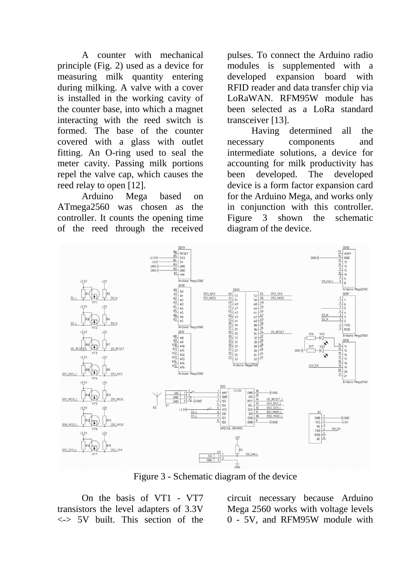A counter with mechanical principle (Fig. 2) used as a device for measuring milk quantity entering during milking. A valve with a cover is installed in the working cavity of the counter base, into which a magnet interacting with the reed switch is formed. The base of the counter covered with a glass with outlet fitting. An O-ring used to seal the meter cavity. Passing milk portions repel the valve cap, which causes the reed relay to open [12].

Arduino Mega based on ATmega2560 was chosen as the controller. It counts the opening time of the reed through the received

pulses. To connect the Arduino radio modules is supplemented with a developed expansion board with RFID reader and data transfer chip via LoRaWAN. RFM95W module has been selected as a LoRa standard transceiver [13].

Having determined all the necessary components and intermediate solutions, a device for accounting for milk productivity has been developed. The developed device is a form factor expansion card for the Arduino Mega, and works only in conjunction with this controller. Figure 3 shown the schematic diagram of the device.



Figure 3 - Schematic diagram of the device

On the basis of VT1 - VT7 transistors the level adapters of 3.3V <-> 5V built. This section of the

circuit necessary because Arduino Mega 2560 works with voltage levels 0 - 5V, and RFM95W module with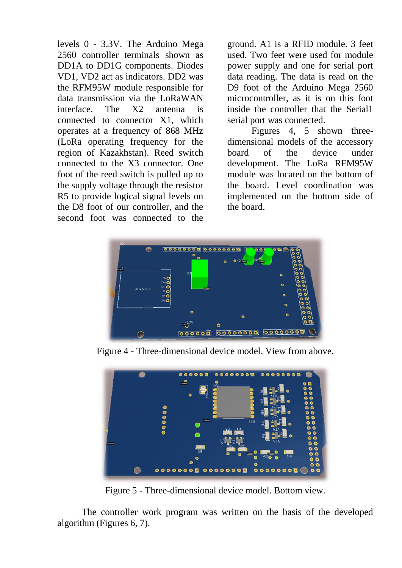levels 0 - 3.3V. The Arduino Mega 2560 controller terminals shown as DD1A to DD1G components. Diodes VD1, VD2 act as indicators. DD2 was the RFM95W module responsible for data transmission via the LoRaWAN interface. The X2 antenna is connected to connector X1, which operates at a frequency of 868 MHz (LoRa operating frequency for the region of Kazakhstan). Reed switch connected to the X3 connector. One foot of the reed switch is pulled up to the supply voltage through the resistor R5 to provide logical signal levels on the D8 foot of our controller, and the second foot was connected to the

ground. A1 is a RFID module. 3 feet used. Two feet were used for module power supply and one for serial port data reading. The data is read on the D9 foot of the Arduino Mega 2560 microcontroller, as it is on this foot inside the controller that the Serial1 serial port was connected.

Figures 4, 5 shown threedimensional models of the accessory board of the device under development. The LoRa RFM95W module was located on the bottom of the board. Level coordination was implemented on the bottom side of the board.



Figure 4 - Three-dimensional device model. View from above.



Figure 5 - Three-dimensional device model. Bottom view.

The controller work program was written on the basis of the developed algorithm (Figures 6, 7).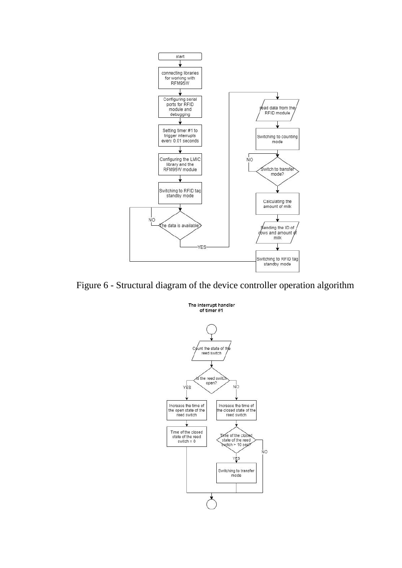



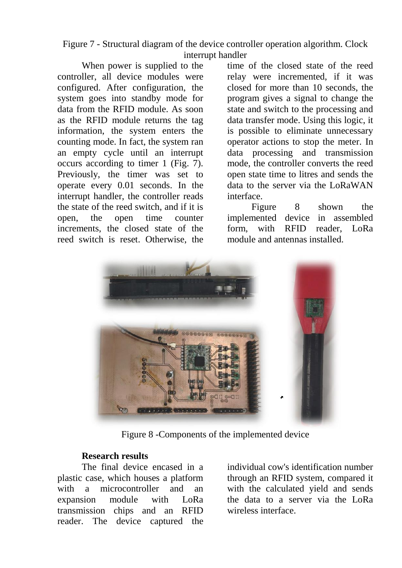Figure 7 - Structural diagram of the device controller operation algorithm. Clock interrupt handler

When power is supplied to the controller, all device modules were configured. After configuration, the system goes into standby mode for data from the RFID module. As soon as the RFID module returns the tag information, the system enters the counting mode. In fact, the system ran an empty cycle until an interrupt occurs according to timer 1 (Fig. 7). Previously, the timer was set to operate every 0.01 seconds. In the interrupt handler, the controller reads the state of the reed switch, and if it is open, the open time counter increments, the closed state of the reed switch is reset. Otherwise, the

time of the closed state of the reed relay were incremented, if it was closed for more than 10 seconds, the program gives a signal to change the state and switch to the processing and data transfer mode. Using this logic, it is possible to eliminate unnecessary operator actions to stop the meter. In data processing and transmission mode, the controller converts the reed open state time to litres and sends the data to the server via the LoRaWAN interface.

Figure 8 shown the implemented device in assembled form, with RFID reader, LoRa module and antennas installed.



Figure 8 -Components of the implemented device

#### **Research results**

The final device encased in a plastic case, which houses a platform with a microcontroller and an expansion module with LoRa transmission chips and an RFID reader. The device captured the individual cow's identification number through an RFID system, compared it with the calculated yield and sends the data to a server via the LoRa wireless interface.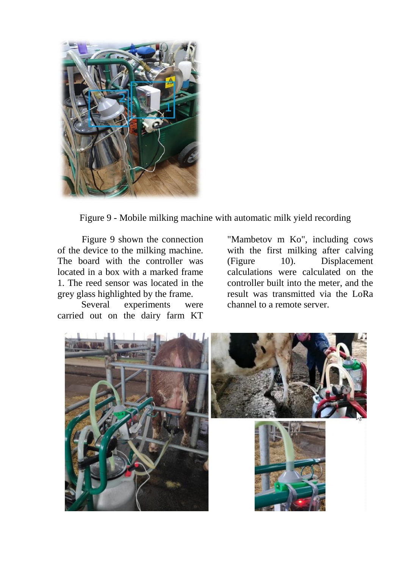

Figure 9 - Mobile milking machine with automatic milk yield recording

Figure 9 shown the connection of the device to the milking machine. The board with the controller was located in a box with a marked frame 1. The reed sensor was located in the grey glass highlighted by the frame.

Several experiments were carried out on the dairy farm KT

"Mambetov m Ko", including cows with the first milking after calving (Figure 10). Displacement calculations were calculated on the controller built into the meter, and the result was transmitted via the LoRa channel to a remote server.

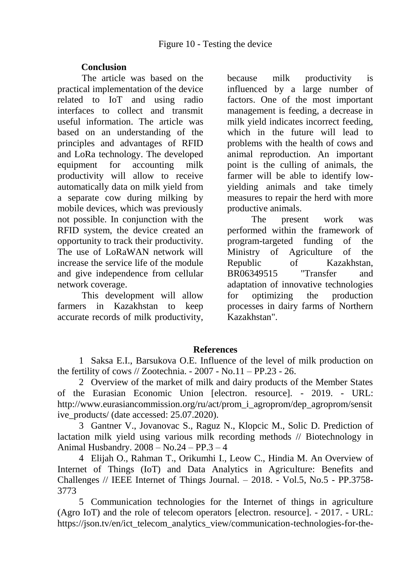## **Conclusion**

The article was based on the practical implementation of the device related to IoT and using radio interfaces to collect and transmit useful information. The article was based on an understanding of the principles and advantages of RFID and LoRa technology. The developed equipment for accounting milk productivity will allow to receive automatically data on milk yield from a separate cow during milking by mobile devices, which was previously not possible. In conjunction with the RFID system, the device created an opportunity to track their productivity. The use of LoRaWAN network will increase the service life of the module and give independence from cellular network coverage.

This development will allow farmers in Kazakhstan to keep accurate records of milk productivity, because milk productivity is influenced by a large number of factors. One of the most important management is feeding, a decrease in milk yield indicates incorrect feeding, which in the future will lead to problems with the health of cows and animal reproduction. An important point is the culling of animals, the farmer will be able to identify lowyielding animals and take timely measures to repair the herd with more productive animals.

The present work was performed within the framework of program-targeted funding of the Ministry of Agriculture of the Republic of Kazakhstan, BR06349515 "Transfer and adaptation of innovative technologies for optimizing the production processes in dairy farms of Northern Kazakhstan".

### **References**

1 Saksa E.I., Barsukova O.E. Influence of the level of milk production on the fertility of cows // Zootechnia. - 2007 - No.11 – PP.23 - 26.

2 Overview of the market of milk and dairy products of the Member States of the Eurasian Economic Union [electron. resource]. - 2019. - URL: http://www.eurasiancommission.org/ru/act/prom\_i\_agroprom/dep\_agroprom/sensit ive\_products/ (date accessed: 25.07.2020).

3 Gantner V., Jovanovac S., Raguz N., Klopcic M., Solic D. Prediction of lactation milk yield using various milk recording methods // Biotechnology in Animal Husbandry. 2008 – No.24 – PP.3 – 4

4 Elijah O., Rahman T., Orikumhi I., Leow C., Hindia M. An Overview of Internet of Things (IoT) and Data Analytics in Agriculture: Benefits and Challenges // IEEE Internet of Things Journal. – 2018. - Vol.5, No.5 - PP.3758- 3773

5 Communication technologies for the Internet of things in agriculture (Agro IoT) and the role of telecom operators [electron. resource]. - 2017. - URL: https://json.tv/en/ict\_telecom\_analytics\_view/communication-technologies-for-the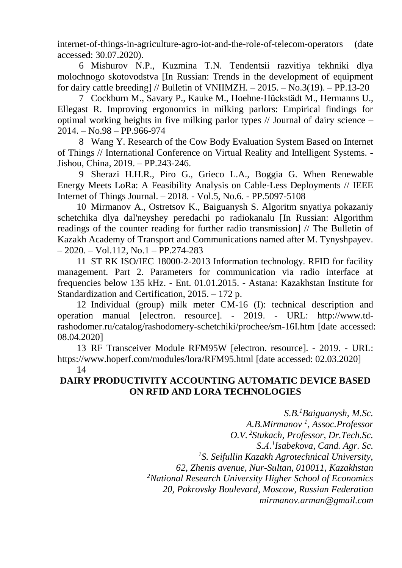internet-of-things-in-agriculture-agro-iot-and-the-role-of-telecom-operators (date accessed: 30.07.2020).

6 Mishurov N.P., Kuzmina T.N. Tendentsii razvitiya tekhniki dlya molochnogo skotovodstva [In Russian: Trends in the development of equipment for dairy cattle breeding] // Bulletin of VNIIMZH.  $- 2015. -\text{No.}3(19)$ .  $-\text{PP.}13\text{-}20$ 

7 Cockburn M., Savary P., Kauke M., Hoehne-Hückstädt M., Hermanns U., Ellegast R. Improving ergonomics in milking parlors: Empirical findings for optimal working heights in five milking parlor types // Journal of dairy science – 2014. – No.98 – PP.966-974

8 Wang Y. Research of the Cow Body Evaluation System Based on Internet of Things // International Conference on Virtual Reality and Intelligent Systems. - Jishou, China, 2019. – PP.243-246.

9 Sherazi H.H.R., Piro G., Grieco L.A., Boggia G. When Renewable Energy Meets LoRa: A Feasibility Analysis on Cable-Less Deployments // IEEE Internet of Things Journal. – 2018. - Vol.5, No.6. - PP.5097-5108

10 Mirmanov A., Ostretsov K., Baiguanysh S. Algoritm snyatiya pokazaniy schetchika dlya dal'neyshey peredachi po radiokanalu [In Russian: Algorithm readings of the counter reading for further radio transmission] // The Bulletin of Kazakh Academy of Transport and Communications named after M. Tynyshpayev.  $-2020$ . – Vol.112, No.1 – PP.274-283

11 ST RK ISO/IEC 18000-2-2013 Information technology. RFID for facility management. Part 2. Parameters for communication via radio interface at frequencies below 135 kHz. - Ent. 01.01.2015. - Astana: Kazakhstan Institute for Standardization and Certification, 2015. – 172 p.

12 Individual (group) milk meter CM-16 (I): technical description and operation manual [electron. resource]. - 2019. - URL: http://www.tdrashodomer.ru/catalog/rashodomery-schetchiki/prochee/sm-16I.htm [date accessed: 08.04.2020]

13 RF Transceiver Module RFM95W [electron. resource]. - 2019. - URL: https://www.hoperf.com/modules/lora/RFM95.html [date accessed: 02.03.2020]

14

# **DAIRY PRODUCTIVITY ACCOUNTING AUTOMATIC DEVICE BASED ON RFID AND LORA TECHNOLOGIES**

*S.B.<sup>1</sup>Baiguanysh, M.Sc. A.B.Mirmanov <sup>1</sup> , Assoc.Professor O.V. <sup>2</sup>Stukach, Professor, Dr.Tech.Sc. S.А. 1 Isabekova, Cand. Agr. Sc. <sup>1</sup>S. Seifullin Kazakh Agrotechnical University, 62, Zhenis avenue, Nur-Sultan, 010011, Kazakhstan <sup>2</sup>National Research University Higher School of Economics 20, Pokrovsky Boulevard, Moscow, Russian Federation mirmanov.arman@gmail.com*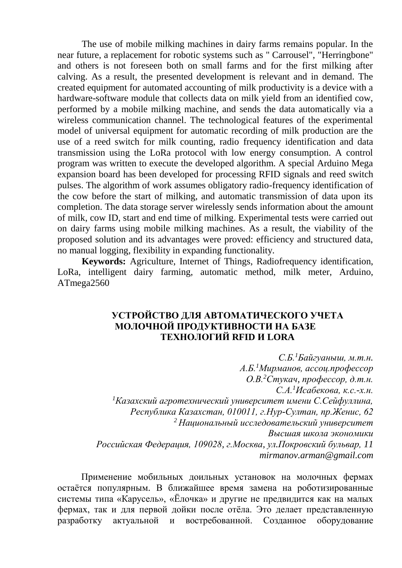The use of mobile milking machines in dairy farms remains popular. In the near future, a replacement for robotic systems such as " Carrousel", "Herringbone" and others is not foreseen both on small farms and for the first milking after calving. As a result, the presented development is relevant and in demand. The created equipment for automated accounting of milk productivity is a device with a hardware-software module that collects data on milk yield from an identified cow, performed by a mobile milking machine, and sends the data automatically via a wireless communication channel. The technological features of the experimental model of universal equipment for automatic recording of milk production are the use of a reed switch for milk counting, radio frequency identification and data transmission using the LoRa protocol with low energy consumption. A control program was written to execute the developed algorithm. A special Arduino Mega expansion board has been developed for processing RFID signals and reed switch pulses. The algorithm of work assumes obligatory radio-frequency identification of the cow before the start of milking, and automatic transmission of data upon its completion. The data storage server wirelessly sends information about the amount of milk, cow ID, start and end time of milking. Experimental tests were carried out on dairy farms using mobile milking machines. As a result, the viability of the proposed solution and its advantages were proved: efficiency and structured data, no manual logging, flexibility in expanding functionality.

**Keywords:** Agriculture, Internet of Things, Radiofrequency identification, LoRa, intelligent dairy farming, automatic method, milk meter, Arduino, ATmega2560

### **УСТРОЙСТВО ДЛЯ АВТОМАТИЧЕСКОГО УЧЕТА МОЛОЧНОЙ ПРОДУКТИВНОСТИ НА БАЗЕ ТЕХНОЛОГИЙ RFID И LORA**

*С.Б.<sup>1</sup>Байгуаныш, м.т.н. А.Б.<sup>1</sup>Мирманов, ассоц.профессор О.В.<sup>2</sup>Стукач, профессор, д.т.н. С.А.<sup>1</sup>Исабекова, к.с.-х.н. <sup>1</sup>Казахский агротехнический университет имени С.Сейфуллина, Республика Казахстан, 010011, г.Нур-Султан, пр.Женис, 62 <sup>2</sup>Национальный исследовательский университет Высшая школа экономики Российская Федерация, 109028, г.Москва, ул.Покровский бульвар, 11 mirmanov.arman@gmail.com*

Применение мобильных доильных установок на молочных фермах остаётся популярным. В ближайшее время замена на роботизированные системы типа «Карусель», «Ёлочка» и другие не предвидится как на малых фермах, так и для первой дойки после отёла. Это делает представленную разработку актуальной и востребованной. Созданное оборудование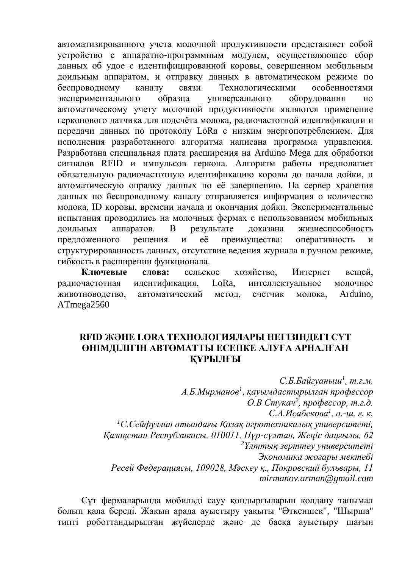автоматизированного учета молочной продуктивности представляет собой устройство с аппаратно-программным модулем, осуществляющее сбор данных об удое с идентифицированной коровы, совершенном мобильным доильным аппаратом, и отправку данных в автоматическом режиме по беспроводному каналу связи. Технологическими особенностями экспериментального образца универсального оборудования по автоматическому учету молочной продуктивности являются применение герконового датчика для подсчёта молока, радиочастотной идентификации и передачи данных по протоколу LoRa с низким энергопотреблением. Для исполнения разработанного алгоритма написана программа управления. Разработана специальная плата расширения на Arduino Mega для обработки сигналов RFID и импульсов геркона. Алгоритм работы предполагает обязательную радиочастотную идентификацию коровы до начала дойки, и автоматическую оправку данных по её завершению. На сервер хранения данных по беспроводному каналу отправляется информация о количество молока, ID коровы, времени начала и окончания дойки. Экспериментальные испытания проводились на молочных фермах с использованием мобильных доильных аппаратов. В результате доказана жизнеспособность предложенного решения и её преимущества: оперативность и структурированность данных, отсутствие ведения журнала в ручном режиме, гибкость в расширении функционала.

**Ключевые слова:** сельское хозяйство, Интернет вещей, радиочастотная идентификация, LoRa, интеллектуальное молочное животноводство, автоматический метод, счетчик молока, Arduino, ATmega2560

### **RFID ЖӘНЕ LORA ТЕХНОЛОГИЯЛАРЫ НЕГІЗІНДЕГІ СҮТ ӨНІМДІЛІГІН АВТОМАТТЫ ЕСЕПКЕ АЛУҒА АРНАЛҒАН ҚҰРЫЛҒЫ**

*С.Б.Байгуаныш<sup>1</sup> , т.ғ.м. А.Б.Мирманов<sup>1</sup> , қауымдастырылған профессор О.В Стукач<sup>2</sup> , профессор, т.ғ.д. С.А.Исабекова<sup>1</sup> , а.-ш. ғ. к. <sup>1</sup>С.Сейфуллин атындағы Қазақ агротехникалық университеті, Қазақстан Республикасы, 010011, Нұр-сұлтан, Жеңіс даңғылы, 62 <sup>2</sup>Ұлттық зерттеу университеті Экономика жоғары мектебі Ресей Федерациясы, 109028, Мәскеу қ., Покровский бульвары, 11 mirmanov.arman@gmail.com*

Сүт фермаларында мобильді сауу қондырғыларын қолдану танымал болып қала береді. Жақын арада ауыстыру уақыты "Әткеншек", "Шырша" типті роботтандырылған жүйелерде және де басқа ауыстыру шағын